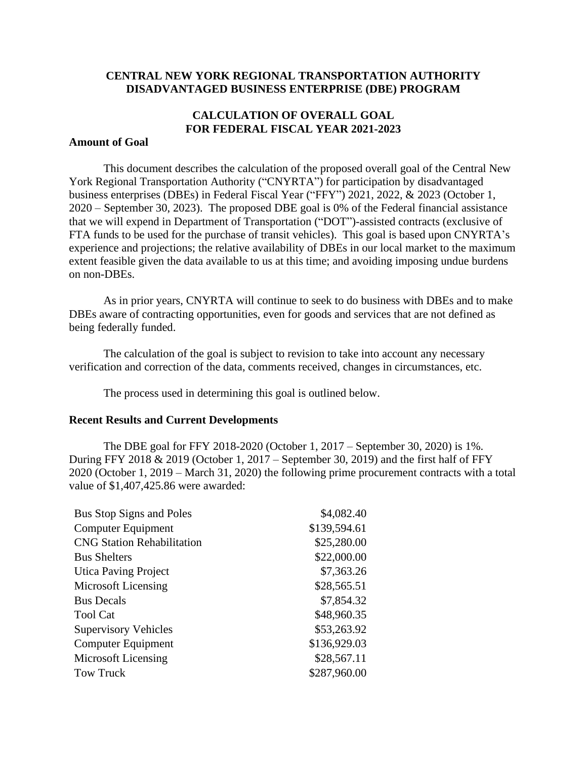### **CENTRAL NEW YORK REGIONAL TRANSPORTATION AUTHORITY DISADVANTAGED BUSINESS ENTERPRISE (DBE) PROGRAM**

# **CALCULATION OF OVERALL GOAL FOR FEDERAL FISCAL YEAR 2021-2023**

#### **Amount of Goal**

This document describes the calculation of the proposed overall goal of the Central New York Regional Transportation Authority ("CNYRTA") for participation by disadvantaged business enterprises (DBEs) in Federal Fiscal Year ("FFY") 2021, 2022, & 2023 (October 1, 2020 – September 30, 2023). The proposed DBE goal is 0% of the Federal financial assistance that we will expend in Department of Transportation ("DOT")-assisted contracts (exclusive of FTA funds to be used for the purchase of transit vehicles). This goal is based upon CNYRTA's experience and projections; the relative availability of DBEs in our local market to the maximum extent feasible given the data available to us at this time; and avoiding imposing undue burdens on non-DBEs.

As in prior years, CNYRTA will continue to seek to do business with DBEs and to make DBEs aware of contracting opportunities, even for goods and services that are not defined as being federally funded.

The calculation of the goal is subject to revision to take into account any necessary verification and correction of the data, comments received, changes in circumstances, etc.

The process used in determining this goal is outlined below.

#### **Recent Results and Current Developments**

The DBE goal for FFY 2018-2020 (October 1, 2017 – September 30, 2020) is 1%. During FFY 2018 & 2019 (October 1, 2017 – September 30, 2019) and the first half of FFY 2020 (October 1, 2019 – March 31, 2020) the following prime procurement contracts with a total value of \$1,407,425.86 were awarded:

| <b>Bus Stop Signs and Poles</b>   | \$4,082.40   |
|-----------------------------------|--------------|
| <b>Computer Equipment</b>         | \$139,594.61 |
| <b>CNG Station Rehabilitation</b> | \$25,280.00  |
| <b>Bus Shelters</b>               | \$22,000.00  |
| <b>Utica Paving Project</b>       | \$7,363.26   |
| Microsoft Licensing               | \$28,565.51  |
| <b>Bus Decals</b>                 | \$7,854.32   |
| <b>Tool Cat</b>                   | \$48,960.35  |
| <b>Supervisory Vehicles</b>       | \$53,263.92  |
| Computer Equipment                | \$136,929.03 |
| Microsoft Licensing               | \$28,567.11  |
| Tow Truck                         | \$287,960.00 |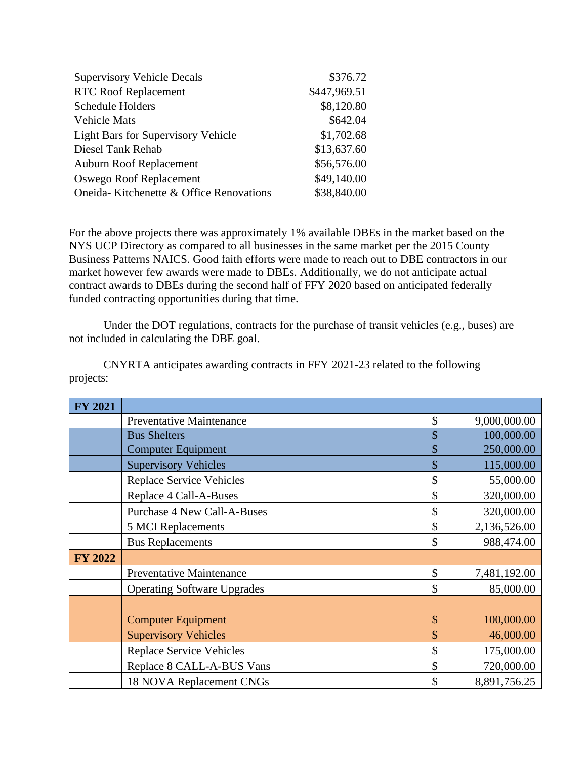| <b>Supervisory Vehicle Decals</b>         | \$376.72     |
|-------------------------------------------|--------------|
| <b>RTC Roof Replacement</b>               | \$447,969.51 |
| <b>Schedule Holders</b>                   | \$8,120.80   |
| <b>Vehicle Mats</b>                       | \$642.04     |
| <b>Light Bars for Supervisory Vehicle</b> | \$1,702.68   |
| Diesel Tank Rehab                         | \$13,637.60  |
| <b>Auburn Roof Replacement</b>            | \$56,576.00  |
| Oswego Roof Replacement                   | \$49,140.00  |
| Oneida-Kitchenette & Office Renovations   | \$38,840.00  |

For the above projects there was approximately 1% available DBEs in the market based on the NYS UCP Directory as compared to all businesses in the same market per the 2015 County Business Patterns NAICS. Good faith efforts were made to reach out to DBE contractors in our market however few awards were made to DBEs. Additionally, we do not anticipate actual contract awards to DBEs during the second half of FFY 2020 based on anticipated federally funded contracting opportunities during that time.

Under the DOT regulations, contracts for the purchase of transit vehicles (e.g., buses) are not included in calculating the DBE goal.

CNYRTA anticipates awarding contracts in FFY 2021-23 related to the following projects:

| <b>FY 2021</b> |                                    |                    |
|----------------|------------------------------------|--------------------|
|                | <b>Preventative Maintenance</b>    | \$<br>9,000,000.00 |
|                | <b>Bus Shelters</b>                | \$<br>100,000.00   |
|                | <b>Computer Equipment</b>          | \$<br>250,000.00   |
|                | <b>Supervisory Vehicles</b>        | \$<br>115,000.00   |
|                | <b>Replace Service Vehicles</b>    | \$<br>55,000.00    |
|                | Replace 4 Call-A-Buses             | \$<br>320,000.00   |
|                | <b>Purchase 4 New Call-A-Buses</b> | \$<br>320,000.00   |
|                | <b>5 MCI Replacements</b>          | \$<br>2,136,526.00 |
|                | <b>Bus Replacements</b>            | \$<br>988,474.00   |
| <b>FY 2022</b> |                                    |                    |
|                | Preventative Maintenance           | \$<br>7,481,192.00 |
|                | <b>Operating Software Upgrades</b> | \$<br>85,000.00    |
|                |                                    |                    |
|                | <b>Computer Equipment</b>          | \$<br>100,000.00   |
|                | <b>Supervisory Vehicles</b>        | \$<br>46,000.00    |
|                | <b>Replace Service Vehicles</b>    | \$<br>175,000.00   |
|                | Replace 8 CALL-A-BUS Vans          | \$<br>720,000.00   |
|                | 18 NOVA Replacement CNGs           | 8,891,756.25       |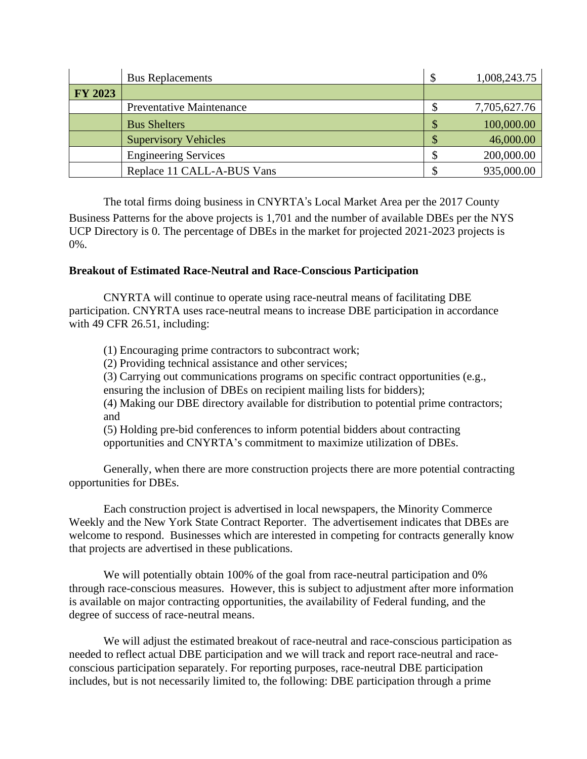|                | <b>Bus Replacements</b>         | \$<br>1,008,243.75 |
|----------------|---------------------------------|--------------------|
| <b>FY 2023</b> |                                 |                    |
|                | <b>Preventative Maintenance</b> | 7,705,627.76       |
|                | <b>Bus Shelters</b>             | 100,000.00         |
|                | <b>Supervisory Vehicles</b>     | 46,000.00          |
|                | <b>Engineering Services</b>     | 200,000.00         |
|                | Replace 11 CALL-A-BUS Vans      | 935,000.00         |

The total firms doing business in CNYRTA's Local Market Area per the 2017 County Business Patterns for the above projects is 1,701 and the number of available DBEs per the NYS UCP Directory is 0. The percentage of DBEs in the market for projected 2021-2023 projects is 0%.

### **Breakout of Estimated Race-Neutral and Race-Conscious Participation**

CNYRTA will continue to operate using race-neutral means of facilitating DBE participation. CNYRTA uses race-neutral means to increase DBE participation in accordance with 49 CFR 26.51, including:

(1) Encouraging prime contractors to subcontract work;

(2) Providing technical assistance and other services;

(3) Carrying out communications programs on specific contract opportunities (e.g.,

ensuring the inclusion of DBEs on recipient mailing lists for bidders);

(4) Making our DBE directory available for distribution to potential prime contractors; and

(5) Holding pre-bid conferences to inform potential bidders about contracting opportunities and CNYRTA's commitment to maximize utilization of DBEs.

Generally, when there are more construction projects there are more potential contracting opportunities for DBEs.

Each construction project is advertised in local newspapers, the Minority Commerce Weekly and the New York State Contract Reporter. The advertisement indicates that DBEs are welcome to respond. Businesses which are interested in competing for contracts generally know that projects are advertised in these publications.

We will potentially obtain 100% of the goal from race-neutral participation and 0% through race-conscious measures. However, this is subject to adjustment after more information is available on major contracting opportunities, the availability of Federal funding, and the degree of success of race-neutral means.

We will adjust the estimated breakout of race-neutral and race-conscious participation as needed to reflect actual DBE participation and we will track and report race-neutral and raceconscious participation separately. For reporting purposes, race-neutral DBE participation includes, but is not necessarily limited to, the following: DBE participation through a prime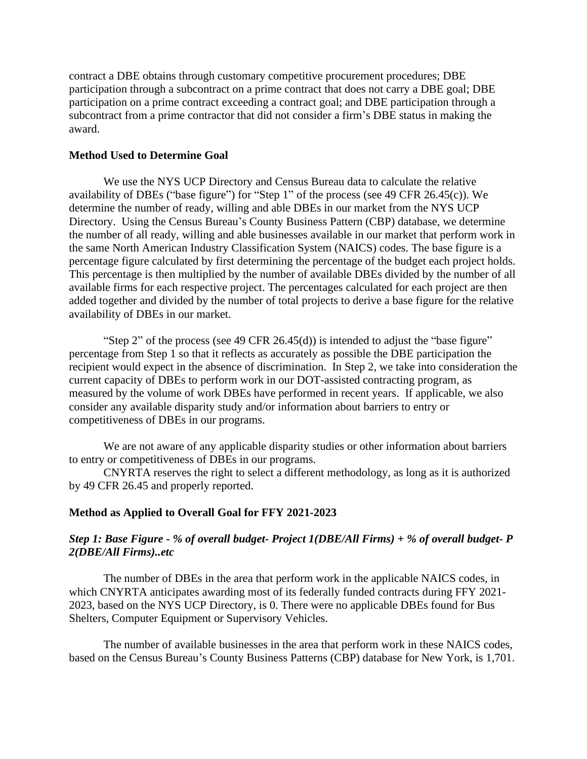contract a DBE obtains through customary competitive procurement procedures; DBE participation through a subcontract on a prime contract that does not carry a DBE goal; DBE participation on a prime contract exceeding a contract goal; and DBE participation through a subcontract from a prime contractor that did not consider a firm's DBE status in making the award.

### **Method Used to Determine Goal**

We use the NYS UCP Directory and Census Bureau data to calculate the relative availability of DBEs ("base figure") for "Step 1" of the process (see 49 CFR 26.45(c)). We determine the number of ready, willing and able DBEs in our market from the NYS UCP Directory. Using the Census Bureau's County Business Pattern (CBP) database, we determine the number of all ready, willing and able businesses available in our market that perform work in the same North American Industry Classification System (NAICS) codes. The base figure is a percentage figure calculated by first determining the percentage of the budget each project holds. This percentage is then multiplied by the number of available DBEs divided by the number of all available firms for each respective project. The percentages calculated for each project are then added together and divided by the number of total projects to derive a base figure for the relative availability of DBEs in our market.

"Step 2" of the process (see 49 CFR 26.45(d)) is intended to adjust the "base figure" percentage from Step 1 so that it reflects as accurately as possible the DBE participation the recipient would expect in the absence of discrimination. In Step 2, we take into consideration the current capacity of DBEs to perform work in our DOT-assisted contracting program, as measured by the volume of work DBEs have performed in recent years. If applicable, we also consider any available disparity study and/or information about barriers to entry or competitiveness of DBEs in our programs.

We are not aware of any applicable disparity studies or other information about barriers to entry or competitiveness of DBEs in our programs.

CNYRTA reserves the right to select a different methodology, as long as it is authorized by 49 CFR 26.45 and properly reported.

### **Method as Applied to Overall Goal for FFY 2021-2023**

# *Step 1: Base Figure - % of overall budget- Project 1(DBE/All Firms) + % of overall budget- P 2(DBE/All Firms)..etc*

The number of DBEs in the area that perform work in the applicable NAICS codes, in which CNYRTA anticipates awarding most of its federally funded contracts during FFY 2021- 2023, based on the NYS UCP Directory, is 0. There were no applicable DBEs found for Bus Shelters, Computer Equipment or Supervisory Vehicles.

The number of available businesses in the area that perform work in these NAICS codes, based on the Census Bureau's County Business Patterns (CBP) database for New York, is 1,701.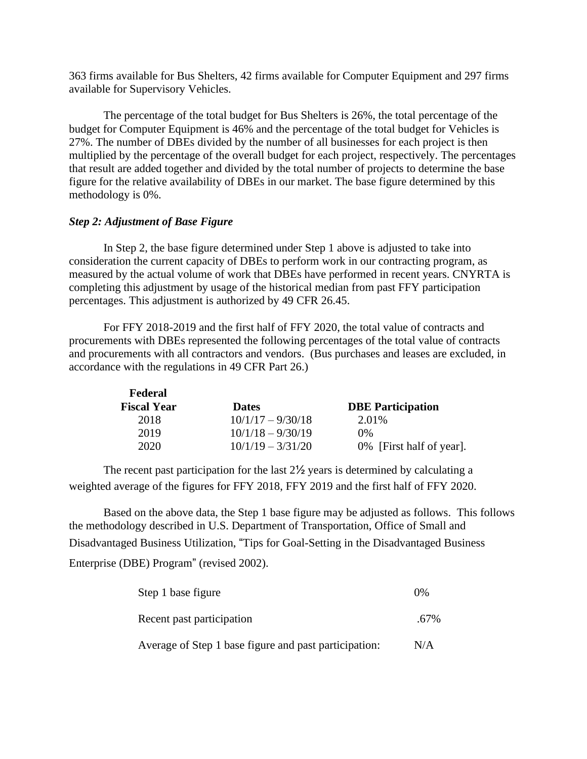363 firms available for Bus Shelters, 42 firms available for Computer Equipment and 297 firms available for Supervisory Vehicles.

The percentage of the total budget for Bus Shelters is 26%, the total percentage of the budget for Computer Equipment is 46% and the percentage of the total budget for Vehicles is 27%. The number of DBEs divided by the number of all businesses for each project is then multiplied by the percentage of the overall budget for each project, respectively. The percentages that result are added together and divided by the total number of projects to determine the base figure for the relative availability of DBEs in our market. The base figure determined by this methodology is 0%.

### *Step 2: Adjustment of Base Figure*

In Step 2, the base figure determined under Step 1 above is adjusted to take into consideration the current capacity of DBEs to perform work in our contracting program, as measured by the actual volume of work that DBEs have performed in recent years. CNYRTA is completing this adjustment by usage of the historical median from past FFY participation percentages. This adjustment is authorized by 49 CFR 26.45.

For FFY 2018-2019 and the first half of FFY 2020, the total value of contracts and procurements with DBEs represented the following percentages of the total value of contracts and procurements with all contractors and vendors. (Bus purchases and leases are excluded, in accordance with the regulations in 49 CFR Part 26.)

| Federal            |                     |                          |
|--------------------|---------------------|--------------------------|
| <b>Fiscal Year</b> | <b>Dates</b>        | <b>DBE</b> Participation |
| 2018               | $10/1/17 - 9/30/18$ | 2.01%                    |
| 2019               | $10/1/18 - 9/30/19$ | 0%                       |
| 2020               | $10/1/19 - 3/31/20$ | 0% [First half of year]. |

The recent past participation for the last 2½ years is determined by calculating a weighted average of the figures for FFY 2018, FFY 2019 and the first half of FFY 2020.

Based on the above data, the Step 1 base figure may be adjusted as follows. This follows the methodology described in U.S. Department of Transportation, Office of Small and Disadvantaged Business Utilization, "Tips for Goal-Setting in the Disadvantaged Business Enterprise (DBE) Program" (revised 2002).

| Step 1 base figure                                    | $0\%$ |
|-------------------------------------------------------|-------|
| Recent past participation                             | .67%  |
| Average of Step 1 base figure and past participation: | N/A   |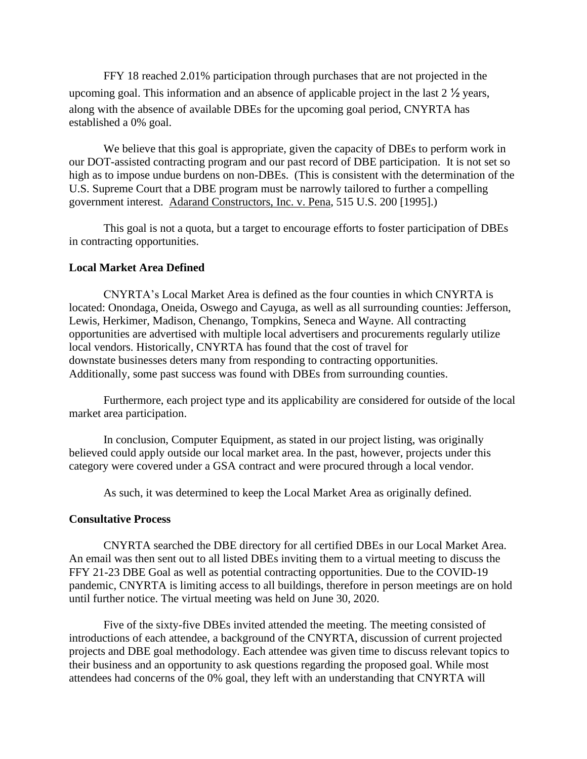FFY 18 reached 2.01% participation through purchases that are not projected in the upcoming goal. This information and an absence of applicable project in the last 2 ½ years, along with the absence of available DBEs for the upcoming goal period, CNYRTA has established a 0% goal.

We believe that this goal is appropriate, given the capacity of DBEs to perform work in our DOT-assisted contracting program and our past record of DBE participation. It is not set so high as to impose undue burdens on non-DBEs. (This is consistent with the determination of the U.S. Supreme Court that a DBE program must be narrowly tailored to further a compelling government interest. Adarand Constructors, Inc. v. Pena, 515 U.S. 200 [1995].)

This goal is not a quota, but a target to encourage efforts to foster participation of DBEs in contracting opportunities.

#### **Local Market Area Defined**

CNYRTA's Local Market Area is defined as the four counties in which CNYRTA is located: Onondaga, Oneida, Oswego and Cayuga, as well as all surrounding counties: Jefferson, Lewis, Herkimer, Madison, Chenango, Tompkins, Seneca and Wayne. All contracting opportunities are advertised with multiple local advertisers and procurements regularly utilize local vendors. Historically, CNYRTA has found that the cost of travel for downstate businesses deters many from responding to contracting opportunities. Additionally, some past success was found with DBEs from surrounding counties.

Furthermore, each project type and its applicability are considered for outside of the local market area participation.

In conclusion, Computer Equipment, as stated in our project listing, was originally believed could apply outside our local market area. In the past, however, projects under this category were covered under a GSA contract and were procured through a local vendor.

As such, it was determined to keep the Local Market Area as originally defined.

#### **Consultative Process**

CNYRTA searched the DBE directory for all certified DBEs in our Local Market Area. An email was then sent out to all listed DBEs inviting them to a virtual meeting to discuss the FFY 21-23 DBE Goal as well as potential contracting opportunities. Due to the COVID-19 pandemic, CNYRTA is limiting access to all buildings, therefore in person meetings are on hold until further notice. The virtual meeting was held on June 30, 2020.

Five of the sixty-five DBEs invited attended the meeting. The meeting consisted of introductions of each attendee, a background of the CNYRTA, discussion of current projected projects and DBE goal methodology. Each attendee was given time to discuss relevant topics to their business and an opportunity to ask questions regarding the proposed goal. While most attendees had concerns of the 0% goal, they left with an understanding that CNYRTA will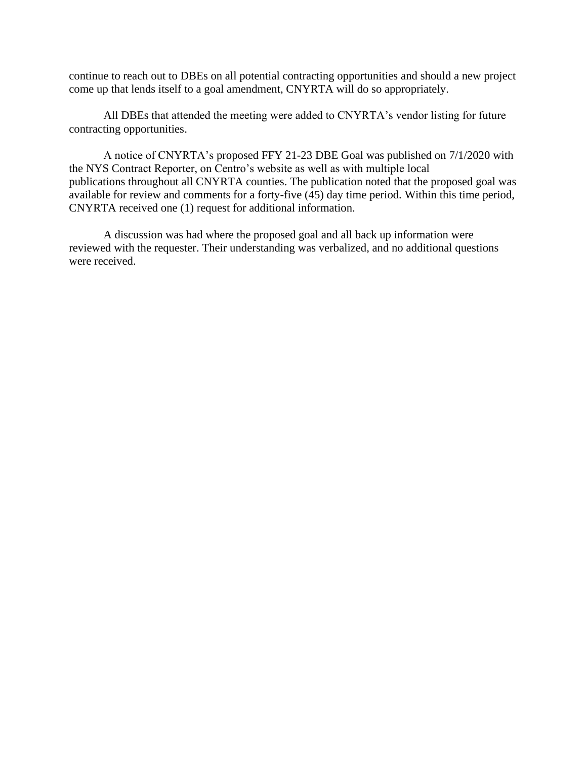continue to reach out to DBEs on all potential contracting opportunities and should a new project come up that lends itself to a goal amendment, CNYRTA will do so appropriately.

All DBEs that attended the meeting were added to CNYRTA's vendor listing for future contracting opportunities.

A notice of CNYRTA's proposed FFY 21-23 DBE Goal was published on 7/1/2020 with the NYS Contract Reporter, on Centro's website as well as with multiple local publications throughout all CNYRTA counties. The publication noted that the proposed goal was available for review and comments for a forty-five (45) day time period. Within this time period, CNYRTA received one (1) request for additional information.

A discussion was had where the proposed goal and all back up information were reviewed with the requester. Their understanding was verbalized, and no additional questions were received.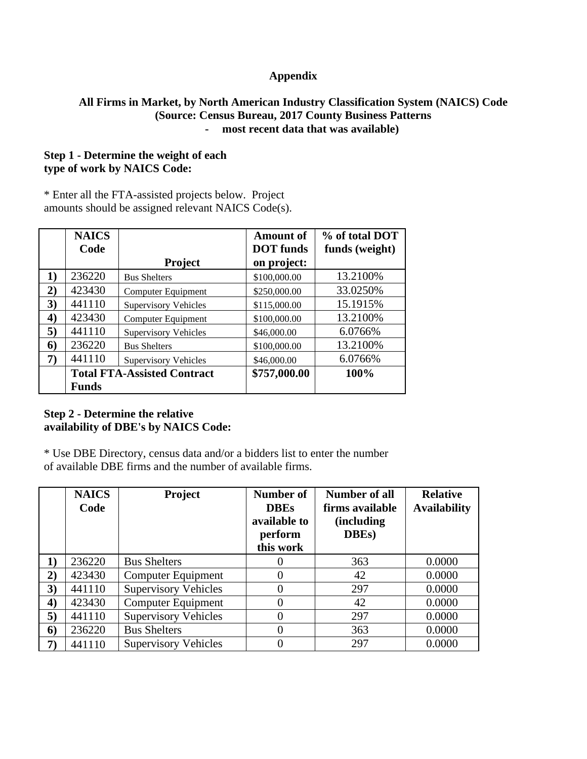# **Appendix**

# **All Firms in Market, by North American Industry Classification System (NAICS) Code (Source: Census Bureau, 2017 County Business Patterns - most recent data that was available)**

# **Step 1 - Determine the weight of each type of work by NAICS Code:**

\* Enter all the FTA-assisted projects below. Project amounts should be assigned relevant NAICS Code(s).

|                  | <b>NAICS</b> |                                    | <b>Amount of</b> | % of total DOT |
|------------------|--------------|------------------------------------|------------------|----------------|
|                  | Code         |                                    | <b>DOT</b> funds | funds (weight) |
|                  |              | <b>Project</b>                     | on project:      |                |
| 1)               | 236220       | <b>Bus Shelters</b>                | \$100,000.00     | 13.2100%       |
| 2)               | 423430       | Computer Equipment                 | \$250,000.00     | 33.0250%       |
| 3)               | 441110       | <b>Supervisory Vehicles</b>        | \$115,000.00     | 15.1915%       |
| $\boldsymbol{4}$ | 423430       | Computer Equipment                 | \$100,000.00     | 13.2100%       |
| 5)               | 441110       | <b>Supervisory Vehicles</b>        | \$46,000.00      | 6.0766%        |
| 6                | 236220       | <b>Bus Shelters</b>                | \$100,000.00     | 13.2100%       |
| 7)               | 441110       | <b>Supervisory Vehicles</b>        | \$46,000.00      | 6.0766%        |
|                  |              | <b>Total FTA-Assisted Contract</b> | \$757,000.00     | 100%           |
|                  | <b>Funds</b> |                                    |                  |                |

# **Step 2 - Determine the relative availability of DBE's by NAICS Code:**

\* Use DBE Directory, census data and/or a bidders list to enter the number of available DBE firms and the number of available firms.

|                  | <b>NAICS</b><br>Code | Project                     | Number of<br><b>DBEs</b><br>available to<br>perform<br>this work | Number of all<br>firms available<br><i>(including)</i><br>DBEs) | <b>Relative</b><br><b>Availability</b> |
|------------------|----------------------|-----------------------------|------------------------------------------------------------------|-----------------------------------------------------------------|----------------------------------------|
| 1)               | 236220               | <b>Bus Shelters</b>         |                                                                  | 363                                                             | 0.0000                                 |
| 2)               | 423430               | Computer Equipment          | 0                                                                | 42                                                              | 0.0000                                 |
| 3)               | 441110               | <b>Supervisory Vehicles</b> |                                                                  | 297                                                             | 0.0000                                 |
| $\boldsymbol{4}$ | 423430               | <b>Computer Equipment</b>   |                                                                  | 42                                                              | 0.0000                                 |
| 5)               | 441110               | <b>Supervisory Vehicles</b> |                                                                  | 297                                                             | 0.0000                                 |
| 6)               | 236220               | <b>Bus Shelters</b>         |                                                                  | 363                                                             | 0.0000                                 |
| 7)               | 441110               | <b>Supervisory Vehicles</b> |                                                                  | 297                                                             | 0.0000                                 |